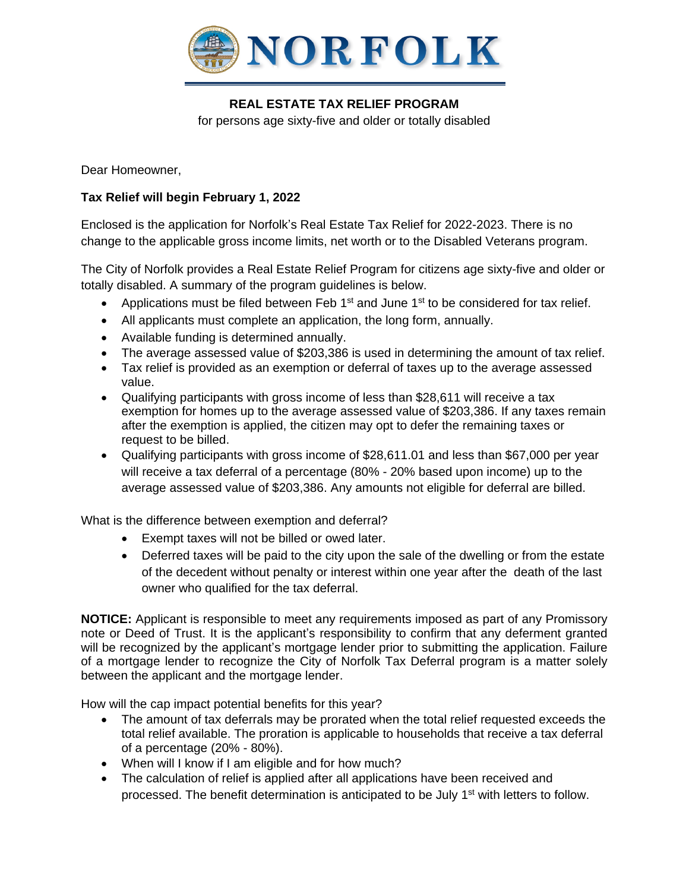

## **REAL ESTATE TAX RELIEF PROGRAM**

for persons age sixty-five and older or totally disabled

Dear Homeowner,

## **Tax Relief will begin February 1, 2022**

Enclosed is the application for Norfolk's Real Estate Tax Relief for 2022-2023. There is no change to the applicable gross income limits, net worth or to the Disabled Veterans program.

The City of Norfolk provides a Real Estate Relief Program for citizens age sixty-five and older or totally disabled. A summary of the program guidelines is below.

- Applications must be filed between Feb 1<sup>st</sup> and June 1<sup>st</sup> to be considered for tax relief.
- All applicants must complete an application, the long form, annually.
- Available funding is determined annually.
- The average assessed value of \$203,386 is used in determining the amount of tax relief.
- Tax relief is provided as an exemption or deferral of taxes up to the average assessed value.
- Qualifying participants with gross income of less than \$28,611 will receive a tax exemption for homes up to the average assessed value of \$203,386. If any taxes remain after the exemption is applied, the citizen may opt to defer the remaining taxes or request to be billed.
- Qualifying participants with gross income of \$28,611.01 and less than \$67,000 per year will receive a tax deferral of a percentage (80% - 20% based upon income) up to the average assessed value of \$203,386. Any amounts not eligible for deferral are billed.

What is the difference between exemption and deferral?

- Exempt taxes will not be billed or owed later.
- Deferred taxes will be paid to the city upon the sale of the dwelling or from the estate of the decedent without penalty or interest within one year after the death of the last owner who qualified for the tax deferral.

**NOTICE:** Applicant is responsible to meet any requirements imposed as part of any Promissory note or Deed of Trust. It is the applicant's responsibility to confirm that any deferment granted will be recognized by the applicant's mortgage lender prior to submitting the application. Failure of a mortgage lender to recognize the City of Norfolk Tax Deferral program is a matter solely between the applicant and the mortgage lender.

How will the cap impact potential benefits for this year?

- The amount of tax deferrals may be prorated when the total relief requested exceeds the total relief available. The proration is applicable to households that receive a tax deferral of a percentage (20% - 80%).
- When will I know if I am eligible and for how much?
- The calculation of relief is applied after all applications have been received and processed. The benefit determination is anticipated to be July 1st with letters to follow.